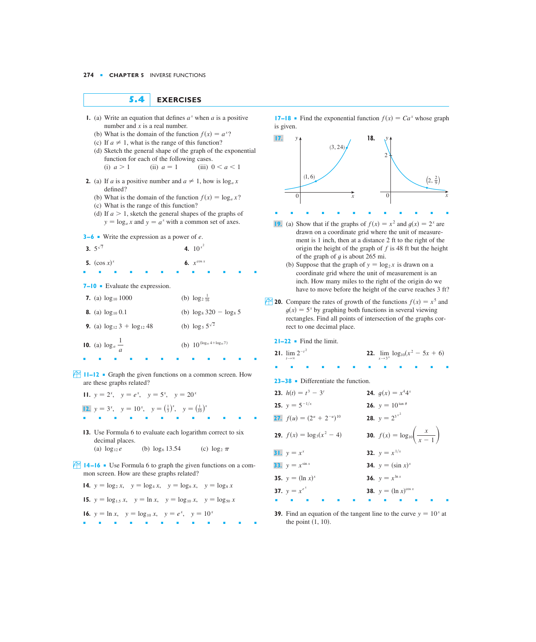**5.4 EXERCISES**

- *f*  $f(x) = Ca^x$  **17** *f*  $f(x) = Ca^x$  **17** *f*  $f(x) = Ca^x$ number and  $x$  is a real number.
	- (b) What is the domain of the function  $f(x) = a^x$ ?
	- (c) If  $a \neq 1$ , what is the range of this function?
	- (d) Sketch the general shape of the graph of the exponential function for each of the following cases.<br>(i)  $a > 1$  (ii)  $a = 1$  (iii) f

(i) 
$$
a > 1
$$
 (ii)  $a = 1$  (iii)  $0 < a < 1$ 

- **2.** (a) If *a* is a positive number and  $a \neq 1$ , how is  $\log_a x$ defined?
	- (b) What is the domain of the function  $f(x) = \log_a x$ ?
	- (c) What is the range of this function?
	- (d) If  $a > 1$ , sketch the general shapes of the graphs of  $y = \log_a x$  and  $y = a^x$  with a common set of axes.

■■■■■■■■■■■■

6.  $x^{\cos x}$ 

4.  $10^{x^2}$ 

**3−6** ■ Write the expression as a power of *e*.

3. 
$$
5^{\sqrt{7}}
$$
 4.  
5.  $(\cos x)^x$  6.

**7–10** ■ Evaluate the expression.

| 7. (a) $\log_{10} 1000$                    | (b) $\log_2 \frac{1}{16}$              |
|--------------------------------------------|----------------------------------------|
| <b>8.</b> (a) $\log_{10} 0.1$              | (b) $\log_8 320 - \log_8 5$            |
| <b>9.</b> (a) $\log_{12} 3 + \log_{12} 48$ | (b) $\log_5 5^{\sqrt{2}}$              |
| <b>10.</b> (a) $\log_a \frac{1}{a}$        | (b) $10^{(\log_{10} 4 + \log_{10} 7)}$ |

**F**  $\left| \bigcup_{n=1}^{\infty}$  **11–12** • Graph the given functions on a common screen. How are these graphs related?

■■■■■■■■■■■■

- **11.**  $y = 2^x$ ,  $y = e^x$ ,  $y = 5^x$ ,  $y = 20^x$ **12.**  $y = 3^x$ ,  $y = 10^x$ ,  $y = (\frac{1}{3})^x$ ,  $y = (\frac{1}{10})^x$ ■■■■■■■■■■■■
- **13.** Use Formula 6 to evaluate each logarithm correct to six decimal places. (a)  $\log_{12} e$  (b)  $\log_6 13.54$  (c)  $\log_2 \pi$
- ; **14 –16** Use Formula 6 to graph the given functions on a common screen. How are these graphs related?

**14.** 
$$
y = \log_2 x
$$
,  $y = \log_4 x$ ,  $y = \log_6 x$ ,  $y = \log_8 x$   
\n**15.**  $y = \log_{1.5} x$ ,  $y = \ln x$ ,  $y = \log_{10} x$ ,  $y = \log_{50} x$   
\n**16.**  $y = \ln x$ ,  $y = \log_{10} x$ ,  $y = e^x$ ,  $y = 10^x$ 

**17–18** • Find the exponential function  $f(x) = Ca^x$  whose graph is given.



- **19.** (a) Show that if the graphs of  $f(x) = x^2$  and  $g(x) = 2^x$  are drawn on a coordinate grid where the unit of measurement is 1 inch, then at a distance 2 ft to the right of the origin the height of the graph of  $f$  is 48 ft but the height of the graph of  $g$  is about 265 mi.
	- (b) Suppose that the graph of  $y = log_2 x$  is drawn on a coordinate grid where the unit of measurement is an inch. How many miles to the right of the origin do we have to move before the height of the curve reaches 3 ft?
- **f 20.** Compare the rates of growth of the functions  $f(x) = x^5$  and  $g(x) = 5^x$  by graphing both functions in several viewing rectangles. Find all points of intersection of the graphs correct to one decimal place.

**21–22** ■ Find the limit.

| <b>21.</b> $\lim 2^{-t^2}$<br>$t \rightarrow \infty$ |  |  |  | <b>22.</b> $\lim_{x \to 3^+} \log_{10}(x^2 - 5x + 6)$ |  |  |
|------------------------------------------------------|--|--|--|-------------------------------------------------------|--|--|
|                                                      |  |  |  |                                                       |  |  |

**23–38** ■ Differentiate the function.

| <b>23.</b> $h(t) = t^3 - 3^t$           | <b>24.</b> $g(x) = x^4 4^x$                             |
|-----------------------------------------|---------------------------------------------------------|
| <b>25.</b> $y = 5^{-1/x}$               | <b>26.</b> $y = 10^{\tan \theta}$                       |
| <b>27.</b> $f(u) = (2^u + 2^{-u})^{10}$ | <b>28.</b> $y = 2^{3^{x^2}}$                            |
| <b>29.</b> $f(x) = \log_3(x^2 - 4)$     | <b>30.</b> $f(x) = \log_{10}\left(\frac{x}{x-1}\right)$ |
| <b>31.</b> $y = x^x$                    | <b>32.</b> $y = x^{1/x}$                                |
| <b>33.</b> $y = x^{\sin x}$             | <b>34.</b> $y = (\sin x)^{x}$                           |
| <b>35.</b> $y = (\ln x)^{x}$            | <b>36.</b> $y = x^{\ln x}$                              |
| <b>37.</b> $y = x^{e^x}$                | <b>38.</b> $y = (\ln x)^{\cos x}$                       |
|                                         |                                                         |

**39.** Find an equation of the tangent line to the curve  $y = 10^x$  at the point  $(1, 10)$ .